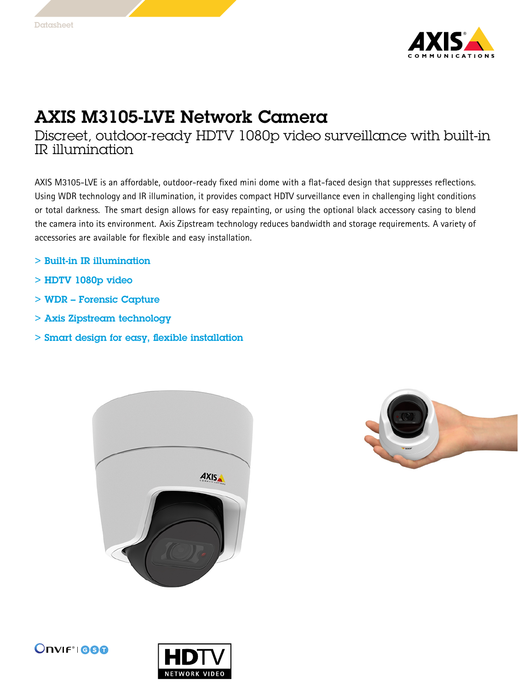

## AXIS M3105-LVE Network Camera

Discreet, outdoor-ready HDTV 1080p video surveillance with built-in IR illumination

AXIS M3105-LVE is an affordable, outdoor-ready fixed mini dome with <sup>a</sup> flat-faced design that suppresses reflections. Using WDR technology and IR illumination, it provides compact HDTV surveillance even in challenging light conditions or total darkness. The smart design allows for easy repainting, or using the optional black accessory casing to blend the camera into its environment. Axis Zipstream technology reduces bandwidth and storage requirements. A variety of accessories are available for flexible and easy installation.

- > Built-in IR illumination
- > HDTV 1080p video
- > WDR Forensic Capture
- > Axis Zipstream technology
- > Smart design for easy, flexible installation